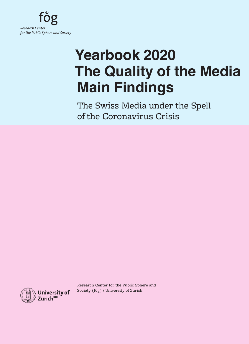

# **Yearbook 2020 The Quality of the Media Main Findings**

The Swiss Media under the Spell of the Coronavirus Crisis



Research Center for the Public Sphere and Society (fög) / University of Zurich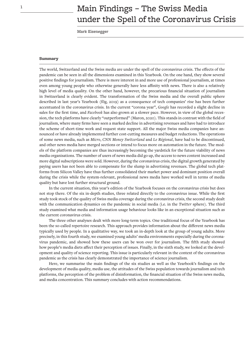# $1$  Main Findings – The Swiss Media under the Spell of the Coronavirus Crisis

Mark Eisenegger

#### **Summary**

The world, Switzerland and the Swiss media are under the spell of the coronavirus crisis. The effects of the pandemic can be seen in all the dimensions examined in this Yearbook. On the one hand, they show several positive findings for journalism. There is more interest in and more use of professional journalism, at times even among young people who otherwise generally have less affinity with news. There is also a relatively high level of media quality. On the other hand, however, the precarious financial situation of journalism in Switzerland is clearly evident. The transformation of the Swiss media and the overall public sphere described in last year's Yearbook (fög, 2019) as a consequence of tech companies' rise has been further accentuated in the coronavirus crisis. In the current "corona year", *Google* has recorded a slight decline in sales for the first time, and *Facebook* has also grown at a slower pace. However, in view of the global recession, the tech platforms have clearly "outperformed" (Maron, 2020). This stands in contrast with the field of journalism, where many firms have seen a marked decline in advertising revenues and have had to introduce the scheme of short-time work and request state support. All the major Swiss media companies have announced or have already implemented further cost-cutting measures and budget reductions. The operations of some news media, such as *Micro*, *CNN Money Switzerland* and *Le Régional*, have had to be discontinued, and other news media have merged sections or intend to focus more on automation in the future. The models of the platform companies are thus increasingly becoming the yardstick for the future viability of news media organisations. The number of users of news media did go up, the access to news content increased and more digital subscriptions were sold. However, during the coronavirus crisis, the digital growth generated by paying users has not been able to compensate for the slump in advertising revenues. The global tech platforms from Silicon Valley have thus further consolidated their market power and dominant position overall during the crisis while the system-relevant, professional news media have worked well in terms of media quality but have lost further structural ground.

In the current situation, this year's edition of the Yearbook focuses on the coronavirus crisis but does not stop there. Of the six in-depth studies, three related directly to the coronavirus issue. While the first study took stock of the quality of Swiss media coverage during the coronavirus crisis, the second study dealt with the communication dynamics on the pandemic in social media (i.e. in the *Twitter* sphere). The third study examined what media and information usage behaviour looks like in an exceptional situation such as the current coronavirus crisis.

The three other analyses dealt with more long-term topics. One traditional focus of the Yearbook has been the so-called repertoire research. This approach provides information about the different news media typically used by people. In a qualitative way, we took an in-depth look at the group of young adults. More precisely, in this fourth study, we examined young adults' media environments especially during the coronavirus pandemic, and showed how these users can be won over for journalism. The fifth study showed how people's media diets affect their perception of issues. Finally, in the sixth study, we looked at the development and quality of science reporting. This issue is particularly relevant in the context of the coronavirus pandemic as the crisis has clearly demonstrated the importance of science journalism.

Here, we summarise the main findings of the six studies as well as the Yearbook's findings on the development of media quality, media use, the attitudes of the Swiss population towards journalism and tech platforms, the perception of the problem of disinformation, the financial situation of the Swiss news media, and media concentration. This summary concludes with action recommendations.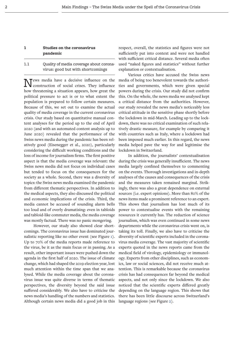# **1 Studies on the coronavirus pandemic**

# 1.1 Quality of media coverage about coronavirus: good but with shortcomings

News media have a decisive influence on the construction of social crises. They influence how threatening a situation appears, how great the political pressure to act is or to what extent the population is prepared to follow certain measures. Because of this, we set out to examine the actual quality of media coverage in the current coronavirus crisis. Our study based on quantitative manual content analyses for the period up to the end of April 2020 (and with an automated content analysis up to June 2020) revealed that the performance of the Swiss news media during the pandemic has been relatively good (Eisenegger et al., 2020), particularly considering the difficult working conditions and the loss of income for journalism firms. The first positive aspect is that the media coverage was relevant: the Swiss news media did not focus on individual cases but tended to focus on the consequences for the society as a whole. Second, there was a diversity of topics: the Swiss news media examined the pandemic from different thematic perspectives. In addition to the medical aspects, they also discussed the political and economic implications of the crisis. Third, the media cannot be accused of sounding alarm bells too loud and of overly dramatising: even in tabloids and tabloid-like commuter media, the media coverage was mostly factual. There was no panic mongering.

However, our study also showed clear shortcomings. The coronavirus issue has dominated journalistic reporting like no other event (see Figure [1](#page-4-0)). Up to 70% of the media reports made reference to the virus, be it as the main focus or in passing. As a result, other important issues were pushed down the agenda in the first half of 2020. The issue of climate change, which had shaped the 2019 election year, lost much attention within the time span that we analysed. While the media coverage about the coronavirus issue was quite diverse in terms of thematic perspectives, the diversity beyond the said issue suffered considerably. We also have to criticise the news media's handling of the numbers and statistics. Although certain news media did a good job in this

respect, overall, the statistics and figures were not sufficiently put into context and were not handled with sufficient critical distance. Several media often used "naked figures and statistics" without further explanation or contextualisation.

Various critics have accused the Swiss news media of being too benevolent towards the authorities and governments, which were given special powers during the crisis. Our study did not confirm this. On the whole, the news media we analysed kept a critical distance from the authorities. However, our study revealed the news media's noticeably less critical attitude in the sensitive phase shortly before the lockdown in mid-March. Leading up to the lockdown, there was no critical examination of such relatively drastic measure, for example by comparing it with countries such as Italy, where a lockdown had been imposed much earlier. In this regard, the news media helped pave the way for and legitimise the lockdown in Switzerland.

In addition, the journalists' contextualisation during the crisis was generally insufficient. The news media largely confined themselves to commenting on the events. Thorough investigations and in-depth analyses of the causes and consequences of the crisis and the measures taken remained marginal. Strikingly, there was also a great dependence on external sources (i.e. expert opinions). More than 80% of the news items made a prominent reference to an expert. This shows that journalism has lost much of its power to contextualise events with the remaining resources it currently has. The reduction of science journalism, which was even continued in some news departments while the coronavirus crisis went on, is taking its toll. Finally, we also have to criticise the diversity of scientific experts included in the coronavirus media coverage. The vast majority of scientific experts quoted in the news reports came from the medical field of virology, epidemiology or immunology. Experts from other disciplines, such as economics, law or social sciences, did not receive much attention. This is remarkable because the coronavirus crisis has had consequences far beyond the medical aspects, and not only since the lockdown. We also noticed that the scientific experts differed greatly depending on the language region. This shows that there has been little discourse across Switzerland's language regions (see Figure [2\)](#page-5-0).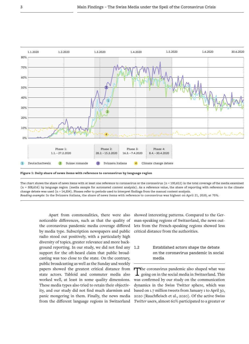

<span id="page-4-0"></span>The chart shows the share of news items with at least one reference to coronavirus or the coronavirus  $(n = 100,612)$  in the total coverage of the media examined (n = 308,616) by language region (media sample for automated content analysis). As a reference value, the share of reporting with reference to the climate change debate was used (n = 14,334). Phases refer to periods used to interpret findings from the manual content analysis. *Reading example:* In the Svizzera italiana, the share of news items with reference to coronavirus was highest on April 21, 2020, at 75%.

Apart from commonalities, there were also noticeable differences, such as that the quality of the coronavirus pandemic media coverage differed by media type. Subscription newspapers and public radio stood out positively, with a particularly high diversity of topics, greater relevance and more background reporting. In our study, we did not find any support for the oft-heard claim that public broadcasting was too close to the state. On the contrary, public broadcasting as well as the Sunday and weekly papers showed the greatest critical distance from state actors. Tabloid and commuter media also worked well, at least in some quality dimensions. These media types also tried to retain their objectivity, and our study did not find much alarmism and panic mongering in them. Finally, the news media from the different language regions in Switzerland

showed interesting patterns. Compared to the German-speaking regions of Switzerland, the news outlets from the French-speaking regions showed less critical distance from the authorities.

# 1.2 Established actors shape the debate on the coronavirus pandemic in social media

The coronavirus pandemic also shaped what was going on in the social media in Switzerland. This was confirmed by our study on the communication dynamics in the Swiss Twitter sphere, which was based on 1.7 million tweets from January 1 to April 30, 2020 (Rauchfleisch et al., 2020). Of the active Swiss *Twitter* users, almost 60% participated to a greater or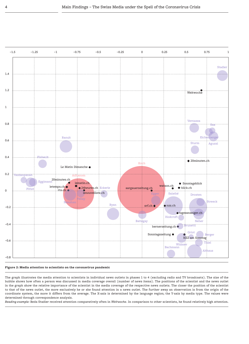

#### <span id="page-5-0"></span>**Figure 2: Media attention to scientists on the coronavirus pandemic**

The graph illustrates the media attention to scientists in individual news outlets in phases 1 to 4 (excluding radio and TV broadcasts). The size of the bubble shows how often a person was discussed in media coverage overall (number of news items). The positions of the scientist and the news outlet in the graph show the relative importance of the scientist in the media coverage of the respective news outlets. The closer the position of the scientist to that of the news outlet, the more exclusively he or she found attention in a news outlet. The further away an observation is from the origin of the coordinate system, the more it differs from the average. The X-axis is determined by the language region; the Y-axis by media type. The values were determined through correspondence analysis.

*Reading example:* Beda Stadler received attention comparatively often in *Weltwoche*. In comparison to other scientists, he found relatively high attention.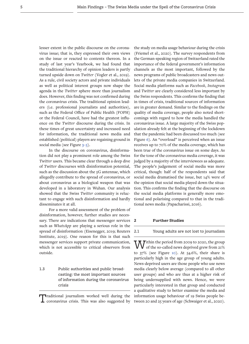lesser extent in the public discourse on the coronavirus issue; that is, they expressed their own views on the issue or reacted to contents thereon. In a study of last year's Yearbook, we had found that the traditional hierarchy of opinion leaders is partly turned upside down on *Twitter* (Vogler et al., 2019). As a rule, civil society actors and private individuals as well as political interest groups now shape the agenda in the *Twitter* sphere more than journalism does. However, this finding was not confirmed during the coronavirus crisis. The traditional opinion leaders (i.e. professional journalists and authorities), such as the Federal Office of Public Health (FOPH) or the Federal Council, have had the greatest influence on the *Twitter* discourse during the crisis. In these times of great uncertainty and increased need for information, the traditional news media and established (political) players are regaining ground in social media (see Figure 3-5).

In the discourse on coronavirus, disinformation did not play a prominent role among the Swiss *Twitter* users. This became clear through a deep dive of *Twitter* discourses with disinformation potential, such as the discussion about the 5G antennae, which allegedly contribute to the spread of coronavirus, or about coronavirus as a biological weapon that was developed in a laboratory in Wuhan. Our analysis showed that the Swiss *Twitter* community is reluctant to engage with such disinformation and hardly disseminates it at all.

For a more valid assessment of the problem of disinformation, however, further studies are necessary. There are indications that messenger services such as *WhatsApp* are playing a serious role in the spread of disinformation (Eisenegger, 2019; Reuters Institute, 2019). One reason for this is that such messenger services support private communication, which is not accessible to critical observers from outside.

1.3 Public authorities and public broadcasting: the most important sources of information during the coronavirus crisis

Traditional journalism worked well during the coronavirus crisis. This was also suggested by the study on media usage behaviour during the crisis (Friemel et al., 2020). The survey respondents from the German-speaking region of Switzerland rated the importance of the federal government's information channels as the most important, followed by the news programs of public broadcasters and news outlets of the private media companies in Switzerland. Social media platforms such as *Facebook*, *Instagram* and *Twitter* are clearly considered less important by the Swiss respondents. This confirms the finding that in times of crisis, traditional sources of information are in greater demand. Similar to the findings on the quality of media coverage, people also noted shortcomings with regard to how the media handled the coronavirus issue. A large majority of the Swiss population already felt at the beginning of the lockdown that the pandemic had been discussed too much (see Figure [6\)](#page-8-0). An "overload" is perceived when an issue receives up to 70% of the media coverage, which has been true of the coronavirus issue on some days. As for the tone of the coronavirus media coverage, it was judged by a majority of the interviewees as adequate. The people's judgement of social media was more critical, though: half of the respondents said that social media dramatised the issue, but 14% were of the opinion that social media played down the situation. This confirms the finding that the discourse on the social media platforms is generally more emotional and polarising compared to that in the traditional news media (Papacharissi, 2016).

#### **2 Further Studies**

#### <span id="page-6-0"></span>2.1 Young adults are not lost to journalism

 $\overline{\text{W}}$  ithin the period from 2009 to 2020, the group  **of the so-called news deprived grew from 21%** to 37% (see Figure [10](#page-14-0)). At 54.6%, their share is particularly high in the age group of young adults. News-deprived users are those people who use news media clearly below average (compared to all other user groups) and who are thus at a higher risk of being undersupplied with news. Hence, we were particularly interested in that group and conducted a qualitative study to better examine the media and information usage behaviour of 19 Swiss people between 20 and 25 years of age (Schwaiger et al., 2020).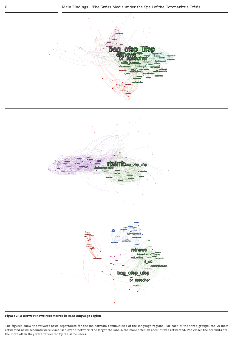





#### <span id="page-7-0"></span>**Figure 3–5: Retweet news repertoires in each language region**

The figures show the retweet news repertoires for the mainstream communities of the language regions. For each of the three groups, the 90 most retweeted news accounts were visualised over a network. The larger the labels, the more often an account was retweeted. The closer the accounts are, the more often they were retweeted by the same users.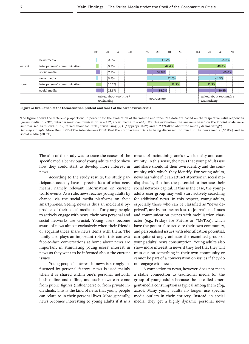|        |                             | 0% | 20                                        | 40 | 60 | 0% | 20          | 40    | 60    | 0% | 20                                     | 40    | 60    |  |
|--------|-----------------------------|----|-------------------------------------------|----|----|----|-------------|-------|-------|----|----------------------------------------|-------|-------|--|
|        | news media                  |    | :2.5%                                     |    |    |    |             | 41.7% |       |    |                                        | 55.8% |       |  |
| extent | interpersonal communication |    | $:3.8\%$                                  |    |    |    |             | 47.4% |       |    |                                        | 48.8% |       |  |
|        | social media                |    | $:7.2\%$                                  |    |    |    | 32.8%       |       |       |    |                                        |       | 60.0% |  |
|        | news media                  |    | :3.4%                                     |    |    |    |             | 52.0% |       |    |                                        | 44.5% |       |  |
| tone   | interpersonal communication |    | :10.2%                                    |    |    |    |             |       | 58.5% |    | 31.3%                                  |       |       |  |
|        | social media                |    | :13.5%                                    |    |    |    |             | 36.0% |       |    |                                        | 50.5% |       |  |
|        |                             |    | talked about too little /<br>trivialising |    |    |    | appropriate |       |       |    | talked about too much /<br>dramatising |       |       |  |

<span id="page-8-0"></span>**Figure 6: Evaluation of the thematisation (extent and tone) of the coronavirus crisis**

The figure shows the different proportions in percent for the evaluation of the volume and tone. The data are based on the respective valid responses (news media: n = 990; interpersonal communication: n = 937; social media: n = 430). For this evaluation, the answers based on the 7-point scale were summarised as follows: 1−3 ("talked about too little / trivialising"), 4 ("appropriate") and 5−7 ("talked about too much / dramatising"). *Reading example:* More than half of the interviewees think that the coronavirus crisis is being discussed too much in the news media (55.8%) and in social media (60.0%).

The aim of the study was to trace the causes of the specific media behaviour of young adults and to show how they could start to develop more interest in news.

According to the study results, the study participants actually have a precise idea of what *news* means, namely relevant information on current world events. As a rule, news reaches young adults by chance, via the social media platforms on their smartphones. Seeing news is thus an incidental byproduct of their social media use. For young people to actively engage with news, their own personal and social networks are crucial. Young users become aware of news almost exclusively when their friends or acquaintances share news items with them. The family also plays an important role in this context: face-to-face conversations at home about news are important in stimulating young users' interest in news as they want to be informed about the current issues.

Young people's interest in news is strongly influenced by personal factors: news is used mainly when it is shared within one's personal network, both online and offline, and such news can come from public figures (influencers) or from private individuals. This is the kind of news that young people can relate to in their personal lives. More generally, news becomes interesting to young adults if it is a

means of maintaining one's own identity and community. In this sense, the news that young adults use and share should fit their own identity and the community with which they identify. For young adults, news has value if it can attract attention in social media; that is, if it has the potential to increase their social network capital. If this is the case, the youngadults user group may well start actively searching for additional news. In this respect, young adults, especially those who can be classified as "news deprived", are by no means lost to journalism. Issues and communication events with mobilisation character (e.g., Fridays for Future or #MeToo), which have the potential to activate their own community, and personalised issues with identification potential, can quite strongly animate the examined group of young adults' news consumption. Young adults also show more interest in news if they feel that they will miss out on something in their own community or cannot be part of a conversation on issues if they do not engage with news.

A connection to news, however, does not mean a stable connection to traditional media for the group of young adults because the so-called emergent-media consumption is typical among them (fög, 2020). Many young adults no longer use specific media outlets in their entirety. Instead, in social media, they get a highly dynamic personal news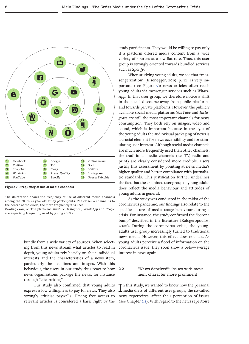

<span id="page-9-0"></span>The illustration shows the frequency of use of different media channels among the 20- to 25-year-old study participants. The closer a channel is to the centre of the circle, the more frequently it is used.

*Reading example:* The platforms *YouTube*, *Instagram*, *WhatsApp* and *Google* are especially frequently used by young adults.

> bundle from a wide variety of sources. When selecting from this news stream what articles to read in depth, young adults rely heavily on their individual interests and the characteristics of a news item, particularly the headlines and images. With this behaviour, the users in our study thus react to how news organisations package the news, for instance through "clickbaiting".

> Our study also confirmed that young adults express a low willingness to pay for news. They also strongly criticise paywalls. Having free access to relevant articles is considered a basic right by the

study participants. They would be willing to pay only if a platform offered media content from a wide variety of sources at a low flat rate. Thus, this user group is strongly oriented towards bundled services such as *Spotify*.

When studying young adults, we see that "messengerization" (Eisenegger, 2019, p. 12) is very important (see Figure [7\)](#page-9-0): news articles often reach young adults via messenger services such as *Whats-App*. In that user group, we therefore notice a shift in the social discourse away from public platforms and towards private platforms. However, the publicly available social media platforms *YouTube* and *Instagram* are still the most important channels for news consumption. They both rely on images, video and sound, which is important because in the eyes of the young adults the audiovisual packaging of news is a crucial element for news accessibility and for stimulating user interest. Although social media channels are much more frequently used than other channels, the traditional media channels (i.e. TV, radio and print) are clearly considered more credible. Users justify this assessment by pointing at news media's higher quality and better compliance with journalistic standards. This justification further underlines the fact that the examined user group of young adults does reflect the media behaviour and attitudes of young adults in general.

As the study was conducted in the midst of the coronavirus pandemic, our findings also relate to the specific nature of media usage behaviour during a crisis. For instance, the study confirmed the "corona bump" described in the literature (Kalogeropoulos, 2020). During the coronavirus crisis, the youngadults user group increasingly turned to traditional news media. However, this effect does not last. As young adults perceive a flood of information on the coronavirus issue, they soon show a below-average interest in news again.

# 2.2 "News deprived": issues with movement character more prominent

In this study, we wanted to know how the personal<br>Imedia diets of different user groups, the so-called n this study, we wanted to know how the personal news repertoires, affect their perception of issues (see Chapter [2.1\)](#page-6-0). With regard to the news repertoire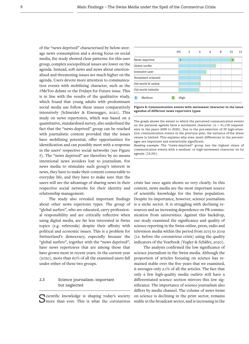of the "news deprived" characterised by below-average news consumption and a strong focus on social media, the study showed clear patterns: for this user group, complex sociopolitical issues are lower on the agenda. Instead, soft news and news about emotionalised and threatening issues are much higher on the agenda. Users devote more attention to communication events with mobilising character, such as the #MeToo debate or the Fridays for Future issue. This is in line with the results of the qualitative study, which found that young adults with predominant social media use follow these issues comparatively intensively (Schneider & Eisenegger, 2020). This study on news repertoires, which was based on a quantitative, standardised survey, also underlined the fact that the "news-deprived" group can be reached with journalistic content provided that the issues have mobilising potential, offer opportunities for identification and can possibly meet with a response in the users' respective social networks (see Figure [8](#page-10-0)). The "news deprived" are therefore by no means intentional news avoiders lost to journalism. For news media to stimulate such group's interest in news, they have to make their content connectable to everyday life, and they have to make sure that the users will see the advantage of sharing news in their respective social networks for their identity and relationship management.

The study also revealed important findings about other news repertoire types. The group of "global surfers", who are educated, carry professional responsibility and are critically reflective when using digital media, are far less interested in Swiss topics (e.g. referenda) despite their affinity with political and economic issues. This is a problem for Switzerland's democracy, especially because the "global surfers", together with the "news deprived", have news repertoires that are among those that have grown most in recent years. In the current year (2020), more than 60% of all the examined users fall under either of these two groups.

# 2.3 Science journalism: important but neglected

Scientific knowledge is shaping today's society<br>
Smore than ever. This is what the coronavirus



<span id="page-10-0"></span>**Figure 8: Communication events with movement character in the issue agendas of different news repertoire types**

The graph shows the extent to which the perceived communication events on the personal agenda have a movement character ( $n = 41,118$  respondents in the years 2009 to 2020). Due to the pre-selection of 20 high-attention communication events in the previous year, the variance of the share values is limited. This explains why even small differences in the percentages are important and statistically significant.

*Reading example:* The "news-deprived" group has the highest share of communication events with a medium- or high-movement character on its agenda (10.5%).

crisis has once again shown us very clearly. In this context, news media are the most important source of scientific knowledge for the Swiss population. Despite its importance, however, science journalism is a niche sector. It is struggling with declining resources and an increasing dependence on PR communication from universities. Against this backdrop, our study examined the significance and quality of science reporting in the Swiss online, press, radio and television media within the period from 2015 to 2019 (i.e. before the coronavirus crisis) using the quality indicators of the Yearbook (Vogler & Schäfer, 2020).

The analysis confirmed the low significance of science journalism in the Swiss media. Although the proportion of articles focusing on science has remained stable over the five years that we examined, it averages only 2.1% of all the articles. The fact that only a few high-quality media outlets still have a differentiated science section mirrors this low significance. The importance of science journalism also differs by media channel. The volume of news items on science is declining in the print sector, remains stable in the broadcast sector, and is increasing in the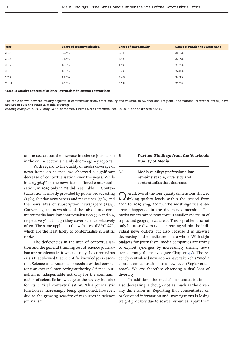| Year  | <b>Share of contextualisation</b> | <b>Share of emotionality</b> | <b>Share of relation to Switzerland</b> |
|-------|-----------------------------------|------------------------------|-----------------------------------------|
| 2015  | 36.4%                             | 2.4%                         | 38.1%                                   |
| 2016  | 21.4%                             | 4.4%                         | 32.7%                                   |
| 2017  | 18.0%                             | 1.9%                         | 31.2%                                   |
| 2018  | 10.9%                             | 5.2%                         | 34.0%                                   |
| 2019  | 13.5%                             | 5.4%                         | 36.3%                                   |
| Total | 20.0%                             | 3.9%                         | 33.7%                                   |
|       |                                   |                              |                                         |

<span id="page-11-0"></span>**Table 1: Quality aspects of science journalism in annual comparison**

The table shows how the quality aspects of contextualisation, emotionality and relation to Switzerland (regional and national reference areas) have developed over the years in media coverage.

*Reading example:* In 2019, only 13.5% of the news items were contextualised. In 2015, the share was 36.4%.

online sector, but the increase in science journalism 3 in the online sector is mainly due to agency reports.

With regard to the quality of media coverage of news items on science, we observed a significant decrease of contextualisation over the years. While in 2015 36.4% of the news items offered contextualisation, in 2019 only 13.5% did (see Table [1](#page-11-0)). Contextualisation is mostly provided by public broadcasting (34%), Sunday newspapers and magazines (32%) and the news sites of subscription newspapers (23%). Conversely, the news sites of the tabloid and commuter media have low contextualisation (9% and 8%, respectively), although they cover science relatively often. The same applies to the websites of *SRG SSR*, which are the least likely to contextualise scientific topics.

The deficiencies in the area of contextualisation and the general thinning out of science journalism are problematic. It was not only the coronavirus crisis that showed that scientific knowledge is essential. Science as a system also needs a critical competent: an external monitoring authority. Science journalism is indispensable not only for the communication of scientific knowledge to the society but also for its critical contextualisation. This journalistic function is increasingly being questioned, however, due to the growing scarcity of resources in science journalism.

# **3 Further Findings from the Yearbook: Quality of Media**

| 3.1 | Media quality: professionalism |
|-----|--------------------------------|
|     | remains stable, diversity and  |
|     | contextualisation decrease     |

Overall, two of the four quality dimensions showed sinking quality levels within the period from 2015 to 2019 (fög, 2020). The most significant decrease happened in the diversity dimension. The media we examined now cover a smaller spectrum of topics and geographical areas. This is problematic not only because diversity is decreasing within the individual news outlets but also because it is likewise decreasing in the media arena as a whole. With tight budgets for journalism, media companies are trying to exploit synergies by increasingly sharing news items among themselves (see Chapter [3.5](#page-14-1)). The recently centralised newsrooms have taken this "media content concentration" to a new level (Vogler et al., 2020). We are therefore observing a dual loss of diversity.

In addition, the media's contextualisation is also decreasing, although not as much as the diversity dimension is. Reporting that concentrates on background information and investigations is losing weight probably due to scarce resources. Apart from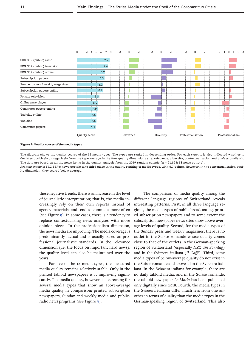|                                  | 2 4 5 6 7<br>8<br>$\Omega$<br><sup>1</sup> | $-2$ $-1$ 0 1 2 3 | $-2$ $-1$ 0<br>2 <sup>3</sup><br>$\overline{1}$ | $-2$ $-1$ 0<br>$\overline{2}$<br>$\mathbf{3}$<br>$\mathbf{1}$ | $-2 -1$<br>$\Omega$<br>$\overline{a}$ |
|----------------------------------|--------------------------------------------|-------------------|-------------------------------------------------|---------------------------------------------------------------|---------------------------------------|
| SRG SSR (public) radio           | 7.7                                        |                   |                                                 |                                                               |                                       |
| SRG SSR (public) television      | 7.4                                        |                   |                                                 |                                                               |                                       |
| SRG SSR (public) online          | 6.7                                        |                   |                                                 |                                                               |                                       |
| Subscription papers              | 6.5                                        | $\ddot{\cdot}$    |                                                 |                                                               |                                       |
| Sunday papers / weekly magazines | 6.2                                        |                   | L                                               |                                                               |                                       |
| Subscription papers online       | 6.2                                        |                   |                                                 |                                                               |                                       |
| Private television               | 5.3                                        |                   |                                                 |                                                               |                                       |
| Online pure player               | 5.0                                        |                   |                                                 |                                                               |                                       |
| Commuter papers online           | 4.9                                        |                   |                                                 |                                                               | $\cdot$<br>$\mathbf{r}$               |
| Tabloids online                  | 4.6                                        |                   |                                                 |                                                               |                                       |
| Tabloids                         | 4.6                                        |                   |                                                 |                                                               | $\mathbf{r}$                          |
| Commuter papers                  | 4.4:                                       |                   |                                                 |                                                               |                                       |
|                                  | Quality score                              | Relevance         | Diversity                                       | Contextualisation                                             | Professionalism                       |

<span id="page-12-0"></span>**Figure 9: Quality scores of the media types**

The diagram shows the quality scores of the 12 media types. The types are ranked in descending order. For each type, it is also indicated whether it deviates positively or negatively from the type average in the four quality dimensions (i.e. relevance, diversity, contextualisation and professionalism). The data are based on all the news items in the quality analysis from the 2019 random sample (n = 21,324; 58 news outlets). *Reading example:* SRG SSR's news portals take third place in the quality ranking of media types, with 6.7 points. However, in the contextualisation quality dimension, they scored below average.

these negative trends, there is an increase in the level of journalistic interpretation; that is, the media increasingly rely on their own reports instead of agency materials, and tend to comment more often (see Figure [9](#page-12-0)). In some cases, there is a tendency to replace contextualising news analyses with more opinion pieces. In the professionalism dimension, the news media are improving. The media coverage is predominantly factual and is usually based on professional journalistic standards. In the relevance dimension (i.e. the focus on important hard news), the quality level can also be maintained over the years.

For five of the 12 media types, the measured media quality remains relatively stable. Only in the printed tabloid newspapers is it improving significantly. The media quality, however, is decreasing for several media types that show an above-average media quality in comparison: printed subscription newspapers, Sunday and weekly media and publicradio news programs (see Figure [9](#page-12-0)).

The comparison of media quality among the different language regions of Switzerland reveals interesting patterns. First, in all three language regions, the media types of public broadcasting, printed subscription newspapers and to some extent the subscription newspaper news sites show above-average levels of quality. Second, for the media types of the Sunday press and weekly magazines, there is no outlet in the Suisse romande whose quality comes close to that of the outlets in the German-speaking region of Switzerland (especially *NZZ am Sonntag*) and in the Svizzera italiana (*Il Caffè*). Third, some media types of below-average quality do not exist in the Suisse romande and above all in the Svizzera italiana. In the Svizzera italiana for example, there are no daily tabloid media, and in the Suisse romande, the tabloid newspaper *Le Matin* has been published only digitally since 2018. Fourth, the media types in the Svizzera italiana differ much less from one another in terms of quality than the media types in the German-speaking region of Switzerland. This also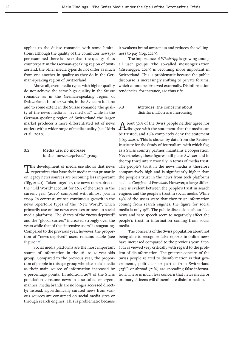applies to the Suisse romande, with some limitations: although the quality of the commuter newspaper examined there is lower than the quality of its counterpart in the German-speaking region of Switzerland, the other media types do not differ as much from one another in quality as they do in the German-speaking region of Switzerland.

Above all, even media types with higher quality do not achieve the same high quality in the Suisse romande as in the German-speaking region of Switzerland. In other words, in the Svizzera italiana and to some extent in the Suisse romande, the quality of the news media is "levelled out" while in the German-speaking region of Switzerland the larger market produces a more differentiated set of news outlets with a wider range of media quality (see Udris et al., 2020).

# 3.2 Media use: no increase in the "news-deprived" group

The development of media use shows that news repertoires that base their media menu primarily on legacy news sources are becoming less important (fög, 2020). Taken together, the news repertoires of the "Old World" account for 26% of the users in the current year (2020) compared with almost 50% in 2009. In contrast, we see continuous growth in the news repertoire types of the "New World", which primarily use online news websites or news in social media platforms. The shares of the "news deprived" and the "global surfers" increased strongly over the years while that of the "intensive users" is stagnating. Compared to the previous year, however, the proportion of "news-deprived" users remains stable (see Figure [10](#page-14-0)).

Social media platforms are the most important source of information in the 18- to 24-year-olds group. Compared to the previous year, the proportion of people in this age group who cite social media as their main source of information increased by 9 percentage points. In addition, 26% of the Swiss population consume news in a so-called emergent manner: media brands are no longer accessed directly; instead, algorithmically curated news from various sources are consumed on social media sites or through search engines. This is problematic because

it weakens brand awareness and reduces the willingness to pay (fög, 2019).

The importance of *WhatsApp* is growing among all user groups. The so-called messengerization (Eisenegger, 2019) is becoming more important in Switzerland. This is problematic because the public discourse is increasingly shifting to private forums, which cannot be observed externally. Disinformation tendencies, for instance, are thus rife.

# 3.3 Attitudes: the concerns about disinformation are increasing

A bout 30% of the Swiss people neither agree nor<br>disagree with the statement that the media can be trusted, and 26% completely deny the statement (fög, 2020). This is shown by data from the Reuters Institute for the Study of Journalism, with which fög, as a Swiss country partner, maintains a cooperation. Nevertheless, these figures still place Switzerland in the top third internationally in terms of media trust. The people's trust in the news media is therefore comparatively high and is significantly higher than the people's trust in the news from tech platforms such as *Google* and *Facebook*. However, a large difference is evident between the people's trust in search engines and the people's trust in social media. While 29% of the users state that they trust information coming from search engines, the figure for social media is only 19%. The public discussions about fake news and hate speech seem to negatively affect the people's trust in information coming from social media.

The concerns of the Swiss population about not being able to recognise false reports in online news have increased compared to the previous year. *Facebook* is viewed very critically with regard to the problem of disinformation. The greatest concern of the Swiss people related to disinformation is that governments, politicians or parties from Switzerland (23%) or abroad (21%) are spreading false information. There is much less concern that news media or ordinary citizens will disseminate disinformation.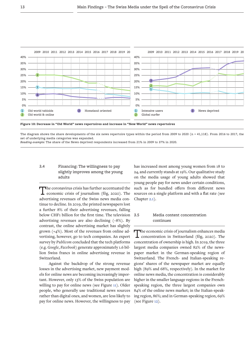

<span id="page-14-0"></span>The diagram shows the share developments of the six news repertoire types within the period from 2009 to 2020 (n = 41,118). From 2016 to 2017, the set of underlying media categories was expanded.

*Reading example:* The share of the News deprived respondents increased from 21% in 2009 to 37% in 2020.

# 3.4 Financing: The willingness to pay slightly improves among the young adults

The coronavirus crisis has further accentuated the economic crisis of journalism (fög, 2020). The advertising revenues of the Swiss news media continue to decline. In 2019, the printed newspapers lost a further 8% of their advertising revenues, falling below CHF1 billion for the first time. The television advertising revenues are also declining (–8%). By contrast, the online advertising market has slightly grown (+4%). Most of the revenues from online advertising, however, go to tech companies. An expert survey by *Publicom* concluded that the tech platforms (e.g. *Google*, *Facebook*) generate approximately 1.6 billion Swiss francs in online advertising revenue in Switzerland.

Against the backdrop of the strong revenue losses in the advertising market, new payment models for online news are becoming increasingly important. However, only 13% of the Swiss population are willing to pay for online news (see Figure [11\)](#page-15-0). Older people, who generally use traditional news sources rather than digital ones, and women, are less likely to pay for online news. However, the willingness to pay has increased most among young women from 18 to 24, and currently stands at 19%. Our qualitative study on the media usage of young adults showed that young people pay for news under certain conditions, such as for bundled offers from different news sources on a single platform and with a flat rate (see Chapter [2.1](#page-6-0)).

# <span id="page-14-1"></span>3.5 Media content concentration continues

The economic crisis of journalism enhances media concentration in Switzerland (fög, 2020). The concentration of ownership is high. In 2019, the three largest media companies owned 82% of the newspaper market in the German-speaking region of Switzerland. The French- and Italian-speaking regions' shares of the newspaper market are equally high (89% and 68%, respectively). In the market for online news media, the concentration is considerably higher in the smaller language regions: in the Frenchspeaking region, the three largest companies own 84% of the online news market; in the Italian-speaking region, 86%; and in German-speaking region, 69% (see Figure [12\)](#page-17-0).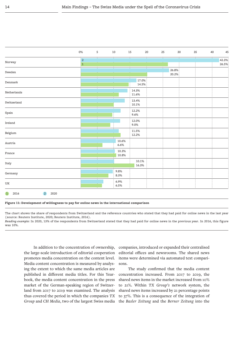| 0%                   | 5 | 10 | 15             | 20                                                              | 25                               | 30              | 35 | 40 | 45             |
|----------------------|---|----|----------------|-----------------------------------------------------------------|----------------------------------|-----------------|----|----|----------------|
| $\frac{1}{2}$<br>i 1 |   |    |                |                                                                 |                                  |                 |    |    | 42.3%<br>26.5% |
|                      |   |    |                |                                                                 |                                  | 26.8%<br>20.2%: |    |    |                |
|                      |   |    |                |                                                                 |                                  |                 |    |    |                |
|                      |   |    | 14.3%<br>11.6% |                                                                 |                                  |                 |    |    |                |
|                      |   |    | 13.4%<br>10.1% |                                                                 |                                  |                 |    |    |                |
|                      |   |    | 12.2%<br>9.6%  |                                                                 |                                  |                 |    |    |                |
|                      |   | ŧ  | 12.0%<br>9.0%  |                                                                 |                                  |                 |    |    |                |
|                      |   |    | 11.5%<br>12.2% |                                                                 |                                  |                 |    |    |                |
|                      |   |    |                |                                                                 |                                  |                 |    |    |                |
|                      |   |    |                |                                                                 |                                  |                 |    |    |                |
|                      |   |    |                |                                                                 |                                  |                 |    |    |                |
|                      |   |    |                |                                                                 |                                  |                 |    |    |                |
|                      |   |    |                |                                                                 |                                  |                 |    |    |                |
|                      |   |    |                | 10.6%<br>6.6%<br>10.3%<br>10.8%<br>9.8%<br>8.3%<br>6.9%<br>6.5% | 17.0%<br>14.5%<br>10.1%<br>16.3% |                 |    |    |                |

<span id="page-15-0"></span>**Figure 11: Development of willingness to pay for online news in the international comparison**

The chart shows the share of respondents from Switzerland and the reference countries who stated that they had paid for online news in the last year (source: Reuters Institute, 2020; Reuters Institute, 2016).

*Reading example:* In 2020, 13% of the respondents from Switzerland stated that they had paid for online news in the previous year. In 2016, this figure was 10%.

In addition to the concentration of ownership, the large-scale introduction of editorial cooperation promotes media concentration on the content level. Media content concentration is measured by analysing the extent to which the same media articles are published in different media titles. For this Yearbook, the media content concentration in the press market of the German-speaking region of Switzerland from 2017 to 2019 was examined. The analysis thus covered the period in which the companies *TX Group* and *CH Media*, two of the largest Swiss media

companies, introduced or expanded their centralised editorial offices and newsrooms. The shared news items were determined via automated text comparisons.

The study confirmed that the media content concentration increased. From 2017 to 2019, the shared news items in the market increased from 10% to 21%. Within *TX Group's* network system, the shared news items increased by 21 percentage points to 37%. This is a consequence of the integration of the *Basler Zeitung* and the *Berner Zeitung* into the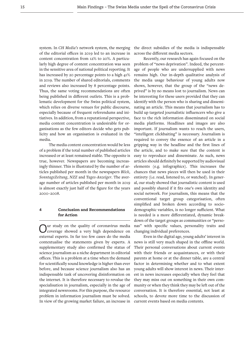system. In *CH Media's* network system, the merging of the editorial offices in 2019 led to an increase in content concentration from 12% to 20%. A particularly high degree of content concentration was seen in the sensitive area of national political reporting. It has increased by 20 percentage points to a high 41% in 2019. The number of shared editorials, comments and reviews also increased by 8 percentage points. Thus, the same voting recommendations are often being published in different outlets. This is a problematic development for the Swiss political system, which relies on diverse venues for public discourse, especially because of frequent referendums and initiatives. In addition, from a reputational perspective, media content concentration is undesirable for organisations as the few editors decide who gets publicity and how an organisation is evaluated in the media.

The media content concentration would be less of a problem if the total number of published articles increased or at least remained stable. The opposite is true, however. Newspapers are becoming increasingly thinner. This is illustrated by the number of articles published per month in the newspapers *Blick*, *SonntagsZeitung*, *NZZ* and *Tages-Anzeiger*. The average number of articles published per month in 2019 is almost exactly just half of the figure for the years 2000–2008.

# **4 Conclusion and Recommendations for Action**

Our study on the quality of coronavirus media coverage showed a very high dependence on external experts. In far too few cases do the media contextualise the statements given by experts. A supplementary study also confirmed the status of science journalism as a niche department in editorial offices. This is a problem at a time when the demand for scientifically sound knowledge is higher than ever before, and because science journalism also has an indispensable task of uncovering disinformation on the internet. It is therefore necessary to revalue the specialisation in journalism, especially in the age of integrated newsrooms. For this purpose, the resource problem in information journalism must be solved. In view of the growing market failure, an increase in

the direct subsidies of the media is indispensable across the different media sectors.

Recently, our research has again focused on the problem of "news deprivation". Indeed, the percentage of people who are undersupplied with news remains high. Our in-depth qualitative analysis of the media usage behaviour of young adults now shows, however, that the group of the "news deprived" is by no means lost to journalism. News can be interesting for these users provided that they can identify with the person who is sharing and disseminating an article. This means that journalism has to build up targeted journalistic influencers who give a face to the rich information disseminated on social media platforms. Headlines and images are also important. If journalism wants to reach the users, "intelligent clickbaiting" is necessary. Journalism is required to convey the essence of an article in a gripping way in the headline and the first lines of the article, and to make sure that the content is easy to reproduce and disseminate. As such, news articles should definitely be supported by audiovisual elements (e.g. infographics). This increases the chances that news pieces will then be used in their entirety (i.e. read, listened to, or watched). In general, our study showed that journalistic content is used and possibly shared if it fits one's own identity and social network. For journalism, this means that the conventional target group categorisation, often simplified and broken down according to sociodemographic variables, is no longer sufficient. What is needed is a more differentiated, dynamic breakdown of the target groups as communities or "personas" with specific values, personality traits and changing individual preferences.

Even in the digital age, young adults' interest in news is still very much shaped in the offline world. Their personal conversations about current events with their friends or acquaintances, or with their parents at home or at the dinner table, are a central factor in determining whether and to what extent young adults will show interest in news. Their interest in news increases especially when they feel that they may miss out on something in their own community or when they think they may be left out of the conversation. It is therefore essential, not least at schools, to devote more time to the discussion of current events based on media contents.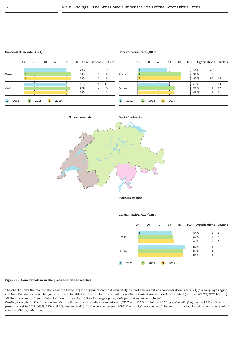



**Svizzera italiana**

|        | 0%             | 20 | 40 | 60 | 80 | 100 |     |   | Organisations: Outlets |
|--------|----------------|----|----|----|----|-----|-----|---|------------------------|
|        |                |    |    |    |    |     | 64% | 6 | 6                      |
| Press  | $\overline{a}$ |    |    |    |    |     | 67% | 6 | 6                      |
|        | $\overline{3}$ |    |    |    |    |     | 68% | 6 | 6                      |
|        |                | z  |    |    |    |     | 89% | 4 | 5                      |
| Online |                |    |    |    |    |     | 85% | 4 | 5                      |
|        |                |    |    |    |    |     | 86% | 4 | 5                      |

#### <span id="page-17-0"></span>**Figure 12: Concentration in the press and online market**

The chart shows the market shares of the three largest organisations that ultimately control a news outlet (concentration rate: CR3) per language region, and how the shares have changed over time. In addition, the number of controlling media organisations and outlets is noted (source: WEMF, NET-Metrix). All the press and online outlets that reach more than 0.5% of a language region's population were included.

*Reading example*: In the Suisse romande, the three largest media organisations (*TX Group*, *Editions Suisses Holding* and *media f sa*) control 89% of the total press market in 2019 (68%, 12% and 8%, respectively). In the reference year 2001, the top 3 share was much lower, and the top 3 controllers consisted of other media organisations.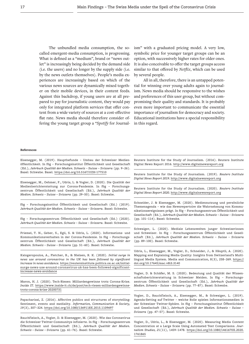The unbundled media consumption, the socalled emergent-media consumption, is progressing. What is defined as a "medium", brand or "news outlet" is increasingly being decided by the demand side (i.e. the users) and no longer by the supply side (i.e. by the news outlets themselves). People's media experiences are increasingly based on which of the various news sources are dynamically mixed together on their mobile devices, in their content feeds. Against this backdrop, if young users are at all prepared to pay for journalistic content, they would pay only for integrated platform services that offer content from a wide variety of sources at a cost-effective flat rate. News media should therefore consider offering the young target group a "*Spotify* for Journalism" with a graduated pricing model. A very low, symbolic price for younger target groups can be an option, with successively higher rates for older ones. It is also conceivable to offer the target groups access similar to that offered by *Netflix*, which can be used by several people.

All in all, therefore, there is an untapped potential for winning over young adults again to journalism. News media should be responsive to the wishes and preferences of this user group, but without compromising their quality and standards. It is probably even more important to communicate the essential importance of journalism for democracy and society. Educational institutions have a special responsibility in this regard.

#### **References**

Eisenegger, M. (2019). Hauptbefunde – Umbau der Schweizer Medienöffentlichkeit. In fög – Forschungsinstitut Öffentlichkeit und Gesellschaft (Ed.), *Jahrbuch Qualität der Medien. Schweiz – Suisse – Svizzera* (pp. 9–26). Basel: Schwabe. Basel. <https://doi.org/10.5167/UZH-177510>

Eisenegger, M., Oehmer, F., Udris, L. & Vogler, D. (2020). Die Qualität der Medienberichterstattung zur Corona-Pandemie. In fög – Forschungszentrum Öffentlichkeit und Gesellschaft (Ed.), *Jahrbuch Qualität der Medien. Schweiz – Suisse – Svizzera* (pp. 29–50). Basel: Schwabe.

fög – Forschungsinstitut Öffentlichkeit und Gesellschaft (Ed.) (2019). *Jahrbuch Qualität der Medien. Schweiz – Suisse – Svizzera*. Basel: Schwabe.

fög – Forschungszentrum Öffentlichkeit und Gesellschaft (Ed.) (2020). *Jahrbuch Qualität der Medien. Schweiz – Suisse – Svizzera*. Basel: Schwabe.

Friemel, T. N., Geber, S., Egli, S. & Udris, L. (2020). Informations- und Kommunikationsverhalten in der Corona-Pandemie. In fög – Forschungszentrum Öffentlichkeit und Gesellschaft (Ed.), *Jahrbuch Qualität der Medien. Schweiz – Suisse – Svizzera* (pp. 51–60). Basel: Schwabe.

Kalogeropoulos, A., Fletcher, R., & Nielsen, R. K. (2020). *Initial surge in news use around coronavirus in the UK has been followed by significant increase in news avoidance.* [https://reutersinstitute.politics.ox.ac.uk/initial](https://reutersinstitute.politics.ox.ac.uk/initial-surge-news-use-around-coronavirus-uk-has-been-followed-significant-increase-news-avoidance)[surge-news-use-around-coronavirus-uk-has-been-followed-significant](https://reutersinstitute.politics.ox.ac.uk/initial-surge-news-use-around-coronavirus-uk-has-been-followed-significant-increase-news-avoidance)[increase-news-avoidance](https://reutersinstitute.politics.ox.ac.uk/initial-surge-news-use-around-coronavirus-uk-has-been-followed-significant-increase-news-avoidance)

Maron, H. J. (2020). Tech-Riesen: Milliardengewinne trotz Corona-Krise. *Inside IT.* [https://www.inside-it.ch/de/post/tech-riesen-milliardengewinne](https://www.inside-it.ch/de/post/tech-riesen-milliardengewinne-trotz-corona-krise-20200731)[trotz-corona-krise-20200731](https://www.inside-it.ch/de/post/tech-riesen-milliardengewinne-trotz-corona-krise-20200731)

Papacharissi, Z. (2016). Affective publics and structures of storytelling: Sentiment, events and mediality. *Information, Communication & Society, 19*(3), 307–324.<https://doi.org/10.1080/1369118X.2015.1109697>

Rauchfleisch, A., Vogler, D. & Eisenegger, M. (2020). Wie das Coronavirus die Schweizer Twitter-Communitys infizierte. In fög – Forschungszentrum Öffentlichkeit und Gesellschaft (Ed.), *Jahrbuch Qualität der Medien. Schweiz – Suisse – Svizzera* (pp. 61–76). Basel: Schwabe.

Reuters Institute for the Study of Journalism. (2016). Reuters Institute Digital News Report 2016. [http://www.digitalnewsreport.org](http://www.digitalnewsreport.org )

Reuters Institute for the Study of Journalism. (2019). *Reuters Institute Digital News Report 2019.* <http://www.digitalnewsreport.org>

Reuters Institute for the Study of Journalism. (2020). *Reuters Institute Digital News Report 2020.* <http://www.digitalnewsreport.org>

Schneider, J. & Eisenegger, M. (2020). Mediennutzung und persönliche Themenagenda – wie das Newsrepertoire die Wahrnehmung von Kommunikationsereignissen prägt. In fög – Forschungszentrum Öffentlichkeit und Gesellschaft (Ed.), *Jahrbuch Qualität der Medien. Schweiz – Suisse – Svizzera* (pp. 101–114). Basel: Schwabe.

Schwaiger, L. (2020). Mediale Lebenswelten junger Schweizerinnen und Schweizer. In fög – Forschungszentrum Öffentlichkeit und Gesellschaft (Ed.), *Jahrbuch Qualität der Medien. Schweiz – Suisse – Svizzera* (pp. 89–100). Basel: Schwabe.

Udris, L., Eisenegger, M., Vogler, D., Schneider, J., & Häuptli, A. (2020). Mapping and Explaining Media Quality: Insights from Switzerland's Multilingual Media System. Media and Communication, 8(3), 258–269. [https://](https://doi.org/10.17645/mac.v8i3.3140) [doi.org/10.17645/mac.v8i3.3140](https://doi.org/10.17645/mac.v8i3.3140)

Vogler, D. & Schäfer, M. S. (2020). Bedeutung und Qualität der Wissenschaftsberichterstattung in Schweizer Meiden. In fög – Forschungszentrum Öffentlichkeit und Gesellschaft (Ed.), *Jahrbuch Qualität der Medien. Schweiz – Suisse – Svizzera* (pp. 77–87). Basel: Schwabe.

Vogler, D., Rauchfleisch, A., Eisenegger, M., & Schwaiger, L. (2019). Agenda-Setting auf Twitter – welche Rolle spielen Informationsmedien in der Schweizer Twitter-Sphäre. In fög – Forschungsinstitut Öffentlichkeit und Gesellschaft (Ed.), *Jahrbuch Qualität der Medien. Schweiz – Suisse – Svizzera* (pp. 47–57). Basel: Schwabe.

Vogler, D., Udris, L., & Eisenegger, M. (2020). Measuring Media Content Concentration at a Large Scale Using Automated Text Comparisons. *Journalism Studies, 2*1(11), 1459–1478. [https://doi.org/10.1080/1461670X.2020.](https://doi.org/10.1080/1461670X.2020.1761865) [1761865](https://doi.org/10.1080/1461670X.2020.1761865)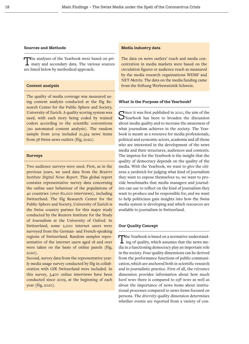#### **Sources and Methods**

The analyses of the Yearbook were based on primary and secondary data. The various sources are listed below by methodical approach.

#### **Content analysis**

The quality of media coverage was measured using content analysis conducted at the fög Research Center for the Public Sphere and Society, University of Zurich. A quality scoring system was used, with each story being coded by trained coders according to the scientific conventions (no automated content analysis). The random sample from 2019 included 21,324 news items from 58 Swiss news outlets (fög, 2020).

# **Surveys**

Two audience surveys were used. First, as in the previous years, we used data from the *Reuters Institute Digital News Report*. This global report contains representative survey data concerning the online user behaviour of the populations of 40 countries (over 80,000 interviews), including Switzerland. The fög Research Center for the Public Sphere and Society, University of Zurich is the Swiss country partner for this major study conducted by the Reuters Institute for the Study of Journalism at the University of Oxford. In Switzerland, some 2,000 internet users were surveyed from the German- and French-speaking regions of Switzerland. Random samples representative of the internet users aged 18 and over were taken on the basis of online panels (fög, 2020).

Second, survey data from the representative yearly media usage survey conducted by fög in collaboration with GfK Switzerland were included. In this survey, 3,400 online interviews have been conducted since 2009, at the beginning of each year (fög, 2020).

### **Media industry data**

The data on news outlets' reach and media concentration in media markets were based on the circulation figures or audience reach as measured by the media research organisations WEMF and NET-Metrix. The data on the media funding came from the Stiftung Werbestatistik Schweiz.

#### **What Is the Purpose of the Yearbook?**

 $\bigcap$  ince it was first published in 2010, the aim of the  $\bigcup$ Yearbook has been to broaden the discussion about media quality and to increase the awareness of what journalism achieves in the society. The Yearbook is meant as a resource for media professionals, political and economic actors, academia and all those who are interested in the development of the news media and their structures, audiences and contents. The impetus for the Yearbook is the insight that the quality of democracy depends on the quality of the media. With the Yearbook, we want to give the citizens a yardstick for judging what kind of journalism they want to expose themselves to, we want to provide benchmarks that media managers and journalists can use to reflect on the kind of journalism they want to produce and be responsible for, and we want to help politicians gain insights into how the Swiss media system is developing and which resources are available to journalism in Switzerland.

#### **Our Quality Concept**

The Yearbook is based on a normative understand- $\perp$  ing of quality, which assumes that the news media in a functioning democracy play an important role in the society. Four quality dimensions can be derived from the performance functions of public communication, which are anchored both in scientific research and in journalistic practice. First of all, the *relevance* dimension provides information about how much *hard news* there is compared to *soft news* as well as about the importance of news items about institutional processes compared to news items focused on persons. The *diversity* quality dimension determines whether events are reported from a variety of con